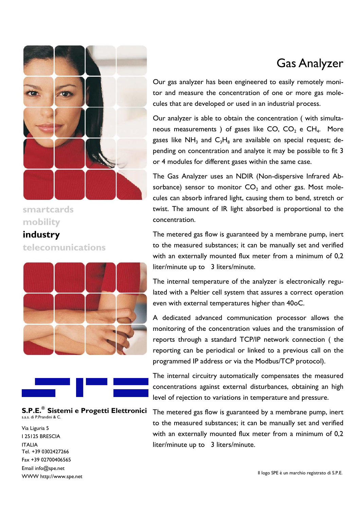

### **smartcards mobility**

## **industry telecomunications**





#### **S.P.E.® Sistemi e Progetti Elettronici**  s.a.s. di P.Prandini & C.

Via Liguria 5 I 25125 BRESCIA ITALIA Tel. +39 0302427266 Fax +39 02700406565 Email info@spe.net WWW http://www.spe.net

# Gas Analyzer

Our gas analyzer has been engineered to easily remotely monitor and measure the concentration of one or more gas molecules that are developed or used in an industrial process.

Our analyzer is able to obtain the concentration ( with simultaneous measurements ) of gases like  $CO$ ,  $CO<sub>2</sub>$  e  $CH<sub>4</sub>$ . More gases like NH<sub>3</sub> and  $C_3H_8$  are available on special request; depending on concentration and analyte it may be possible to fit 3 or 4 modules for different gases within the same case.

The Gas Analyzer uses an NDIR (Non-dispersive Infrared Absorbance) sensor to monitor  $CO<sub>2</sub>$  and other gas. Most molecules can absorb infrared light, causing them to bend, stretch or twist. The amount of IR light absorbed is proportional to the concentration.

The metered gas flow is guaranteed by a membrane pump, inert to the measured substances; it can be manually set and verified with an externally mounted flux meter from a minimum of 0,2 liter/minute up to 3 liters/minute.

The internal temperature of the analyzer is electronically regulated with a Peltier cell system that assures a correct operation even with external temperatures higher than 40oC.

A dedicated advanced communication processor allows the monitoring of the concentration values and the transmission of reports through a standard TCP/IP network connection ( the reporting can be periodical or linked to a previous call on the programmed IP address or via the Modbus/TCP protocol).

The internal circuitry automatically compensates the measured concentrations against external disturbances, obtaining an high level of rejection to variations in temperature and pressure.

The metered gas flow is guaranteed by a membrane pump, inert to the measured substances; it can be manually set and verified with an externally mounted flux meter from a minimum of 0,2 liter/minute up to 3 liters/minute.